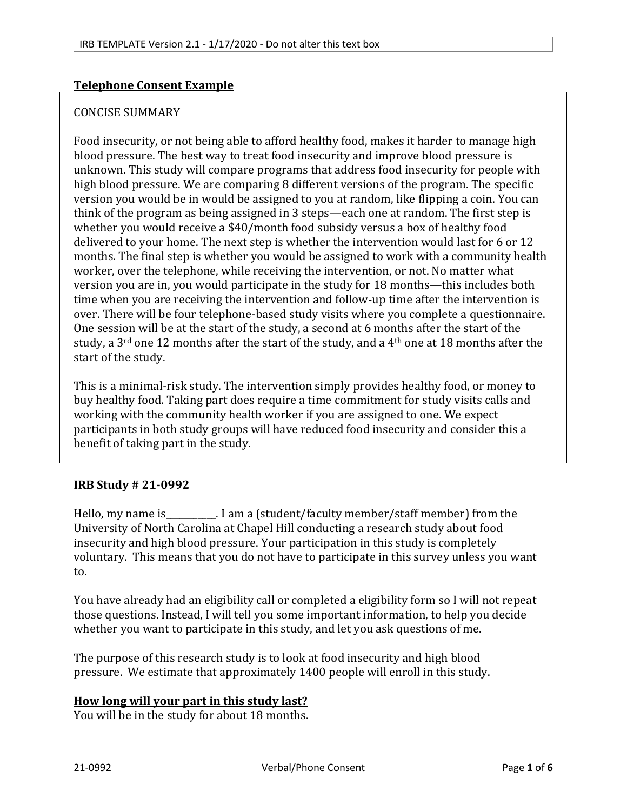### **Telephone Consent Example**

#### CONCISE SUMMARY

Food insecurity, or not being able to afford healthy food, makes it harder to manage high blood pressure. The best way to treat food insecurity and improve blood pressure is unknown. This study will compare programs that address food insecurity for people with high blood pressure. We are comparing 8 different versions of the program. The specific version you would be in would be assigned to you at random, like flipping a coin. You can think of the program as being assigned in 3 steps—each one at random. The first step is whether you would receive a \$40/month food subsidy versus a box of healthy food delivered to your home. The next step is whether the intervention would last for 6 or 12 months. The final step is whether you would be assigned to work with a community health worker, over the telephone, while receiving the intervention, or not. No matter what version you are in, you would participate in the study for 18 months—this includes both time when you are receiving the intervention and follow-up time after the intervention is over. There will be four telephone-based study visits where you complete a questionnaire. One session will be at the start of the study, a second at 6 months after the start of the study, a 3<sup>rd</sup> one 12 months after the start of the study, and a 4<sup>th</sup> one at 18 months after the start of the study.

This is a minimal-risk study. The intervention simply provides healthy food, or money to buy healthy food. Taking part does require a time commitment for study visits calls and working with the community health worker if you are assigned to one. We expect participants in both study groups will have reduced food insecurity and consider this a benefit of taking part in the study.

### **IRB Study # 21-0992**

Hello, my name is\_\_\_\_\_\_\_\_\_\_\_. I am a (student/faculty member/staff member) from the University of North Carolina at Chapel Hill conducting a research study about food insecurity and high blood pressure. Your participation in this study is completely voluntary. This means that you do not have to participate in this survey unless you want to.

You have already had an eligibility call or completed a eligibility form so I will not repeat those questions. Instead, I will tell you some important information, to help you decide whether you want to participate in this study, and let you ask questions of me.

The purpose of this research study is to look at food insecurity and high blood pressure. We estimate that approximately 1400 people will enroll in this study.

#### **How long will your part in this study last?**

You will be in the study for about 18 months.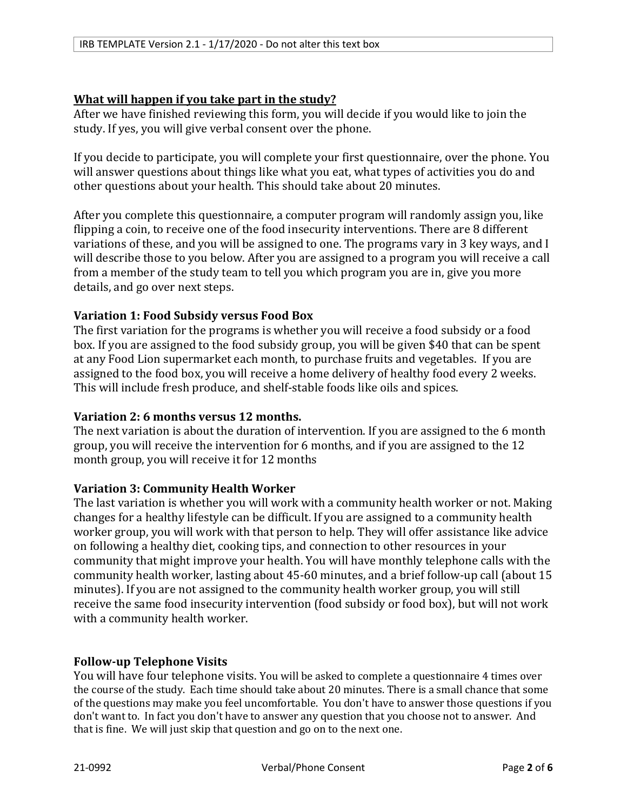# **What will happen if you take part in the study?**

After we have finished reviewing this form, you will decide if you would like to join the study. If yes, you will give verbal consent over the phone.

If you decide to participate, you will complete your first questionnaire, over the phone. You will answer questions about things like what you eat, what types of activities you do and other questions about your health. This should take about 20 minutes.

After you complete this questionnaire, a computer program will randomly assign you, like flipping a coin, to receive one of the food insecurity interventions. There are 8 different variations of these, and you will be assigned to one. The programs vary in 3 key ways, and I will describe those to you below. After you are assigned to a program you will receive a call from a member of the study team to tell you which program you are in, give you more details, and go over next steps.

# **Variation 1: Food Subsidy versus Food Box**

The first variation for the programs is whether you will receive a food subsidy or a food box. If you are assigned to the food subsidy group, you will be given \$40 that can be spent at any Food Lion supermarket each month, to purchase fruits and vegetables. If you are assigned to the food box, you will receive a home delivery of healthy food every 2 weeks. This will include fresh produce, and shelf-stable foods like oils and spices.

### **Variation 2: 6 months versus 12 months.**

The next variation is about the duration of intervention. If you are assigned to the 6 month group, you will receive the intervention for 6 months, and if you are assigned to the 12 month group, you will receive it for 12 months

### **Variation 3: Community Health Worker**

The last variation is whether you will work with a community health worker or not. Making changes for a healthy lifestyle can be difficult. If you are assigned to a community health worker group, you will work with that person to help. They will offer assistance like advice on following a healthy diet, cooking tips, and connection to other resources in your community that might improve your health. You will have monthly telephone calls with the community health worker, lasting about 45-60 minutes, and a brief follow-up call (about 15 minutes). If you are not assigned to the community health worker group, you will still receive the same food insecurity intervention (food subsidy or food box), but will not work with a community health worker.

### **Follow-up Telephone Visits**

You will have four telephone visits. You will be asked to complete a questionnaire 4 times over the course of the study.  Each time should take about 20 minutes. There is a small chance that some of the questions may make you feel uncomfortable.  You don't have to answer those questions if you don't want to.  In fact you don't have to answer any question that you choose not to answer.  And that is fine.  We will just skip that question and go on to the next one.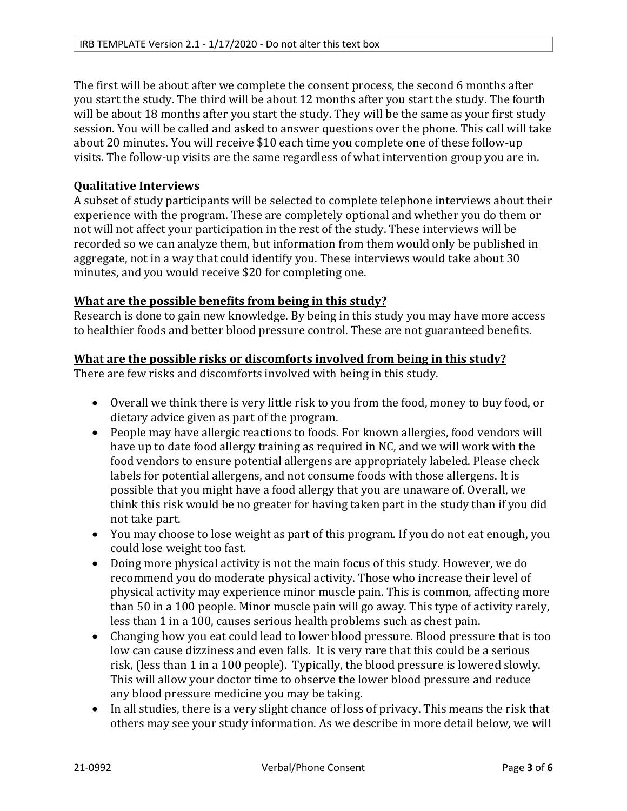The first will be about after we complete the consent process, the second 6 months after you start the study. The third will be about 12 months after you start the study. The fourth will be about 18 months after you start the study. They will be the same as your first study session. You will be called and asked to answer questions over the phone. This call will take about 20 minutes. You will receive \$10 each time you complete one of these follow-up visits. The follow-up visits are the same regardless of what intervention group you are in.

# **Qualitative Interviews**

A subset of study participants will be selected to complete telephone interviews about their experience with the program. These are completely optional and whether you do them or not will not affect your participation in the rest of the study. These interviews will be recorded so we can analyze them, but information from them would only be published in aggregate, not in a way that could identify you. These interviews would take about 30 minutes, and you would receive \$20 for completing one.

### **What are the possible benefits from being in this study?**

Research is done to gain new knowledge. By being in this study you may have more access to healthier foods and better blood pressure control. These are not guaranteed benefits.

# **What are the possible risks or discomforts involved from being in this study?**

There are few risks and discomforts involved with being in this study.

- Overall we think there is very little risk to you from the food, money to buy food, or dietary advice given as part of the program.
- People may have allergic reactions to foods. For known allergies, food vendors will have up to date food allergy training as required in NC, and we will work with the food vendors to ensure potential allergens are appropriately labeled. Please check labels for potential allergens, and not consume foods with those allergens. It is possible that you might have a food allergy that you are unaware of. Overall, we think this risk would be no greater for having taken part in the study than if you did not take part.
- You may choose to lose weight as part of this program. If you do not eat enough, you could lose weight too fast.
- Doing more physical activity is not the main focus of this study. However, we do recommend you do moderate physical activity. Those who increase their level of physical activity may experience minor muscle pain. This is common, affecting more than 50 in a 100 people. Minor muscle pain will go away. This type of activity rarely, less than 1 in a 100, causes serious health problems such as chest pain.
- Changing how you eat could lead to lower blood pressure. Blood pressure that is too low can cause dizziness and even falls. It is very rare that this could be a serious risk, (less than 1 in a 100 people). Typically, the blood pressure is lowered slowly. This will allow your doctor time to observe the lower blood pressure and reduce any blood pressure medicine you may be taking.
- In all studies, there is a very slight chance of loss of privacy. This means the risk that others may see your study information. As we describe in more detail below, we will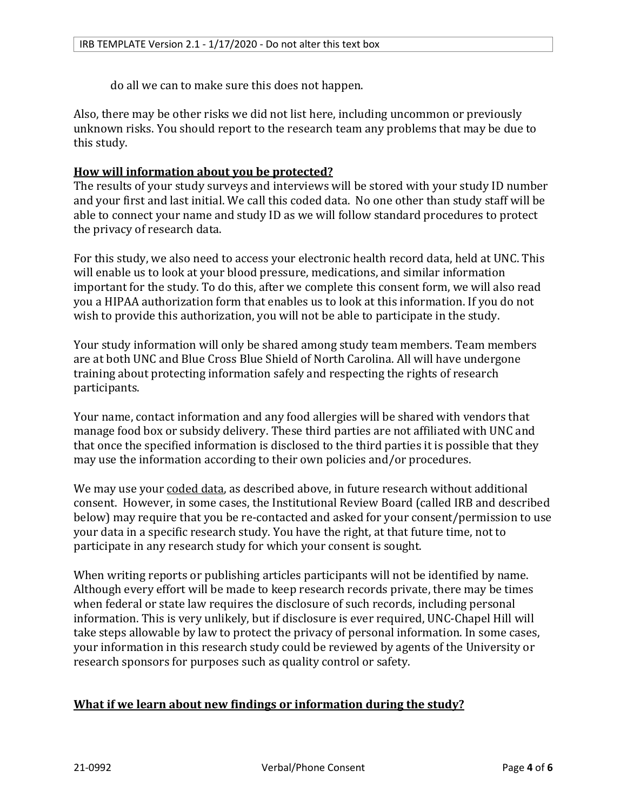do all we can to make sure this does not happen.

Also, there may be other risks we did not list here, including uncommon or previously unknown risks. You should report to the research team any problems that may be due to this study.

### **How will information about you be protected?**

The results of your study surveys and interviews will be stored with your study ID number and your first and last initial. We call this coded data. No one other than study staff will be able to connect your name and study ID as we will follow standard procedures to protect the privacy of research data.

For this study, we also need to access your electronic health record data, held at UNC. This will enable us to look at your blood pressure, medications, and similar information important for the study. To do this, after we complete this consent form, we will also read you a HIPAA authorization form that enables us to look at this information. If you do not wish to provide this authorization, you will not be able to participate in the study.

Your study information will only be shared among study team members. Team members are at both UNC and Blue Cross Blue Shield of North Carolina. All will have undergone training about protecting information safely and respecting the rights of research participants.

Your name, contact information and any food allergies will be shared with vendors that manage food box or subsidy delivery. These third parties are not affiliated with UNC and that once the specified information is disclosed to the third parties it is possible that they may use the information according to their own policies and/or procedures.

We may use your coded data, as described above, in future research without additional consent. However, in some cases, the Institutional Review Board (called IRB and described below) may require that you be re-contacted and asked for your consent/permission to use your data in a specific research study. You have the right, at that future time, not to participate in any research study for which your consent is sought.

When writing reports or publishing articles participants will not be identified by name. Although every effort will be made to keep research records private, there may be times when federal or state law requires the disclosure of such records, including personal information. This is very unlikely, but if disclosure is ever required, UNC-Chapel Hill will take steps allowable by law to protect the privacy of personal information. In some cases, your information in this research study could be reviewed by agents of the University or research sponsors for purposes such as quality control or safety.

### **What if we learn about new findings or information during the study?**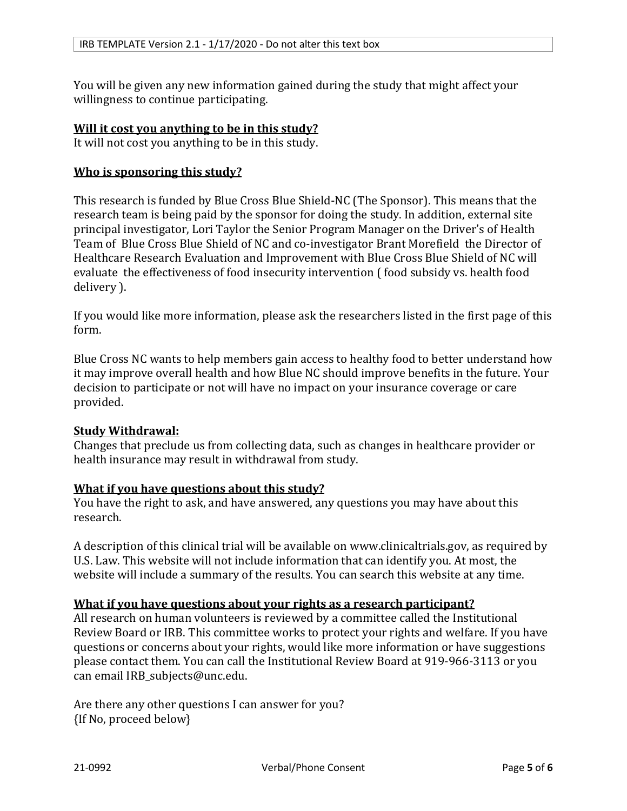You will be given any new information gained during the study that might affect your willingness to continue participating.

#### **Will it cost you anything to be in this study?**

It will not cost you anything to be in this study.

#### **Who is sponsoring this study?**

This research is funded by Blue Cross Blue Shield-NC (The Sponsor). This means that the research team is being paid by the sponsor for doing the study. In addition, external site principal investigator, Lori Taylor the Senior Program Manager on the Driver's of Health Team of Blue Cross Blue Shield of NC and co-investigator Brant Morefield the Director of Healthcare Research Evaluation and Improvement with Blue Cross Blue Shield of NC will evaluate the effectiveness of food insecurity intervention ( food subsidy vs. health food delivery ).

If you would like more information, please ask the researchers listed in the first page of this form.

Blue Cross NC wants to help members gain access to healthy food to better understand how it may improve overall health and how Blue NC should improve benefits in the future. Your decision to participate or not will have no impact on your insurance coverage or care provided.

#### **Study Withdrawal:**

Changes that preclude us from collecting data, such as changes in healthcare provider or health insurance may result in withdrawal from study.

#### **What if you have questions about this study?**

You have the right to ask, and have answered, any questions you may have about this research.

A description of this clinical trial will be available on www.clinicaltrials.gov, as required by U.S. Law. This website will not include information that can identify you. At most, the website will include a summary of the results. You can search this website at any time.

#### **What if you have questions about your rights as a research participant?**

All research on human volunteers is reviewed by a committee called the Institutional Review Board or IRB. This committee works to protect your rights and welfare. If you have questions or concerns about your rights, would like more information or have suggestions please contact them. You can call the Institutional Review Board at 919-966-3113 or you can email IRB\_subjects@unc.edu.

Are there any other questions I can answer for you? {If No, proceed below}